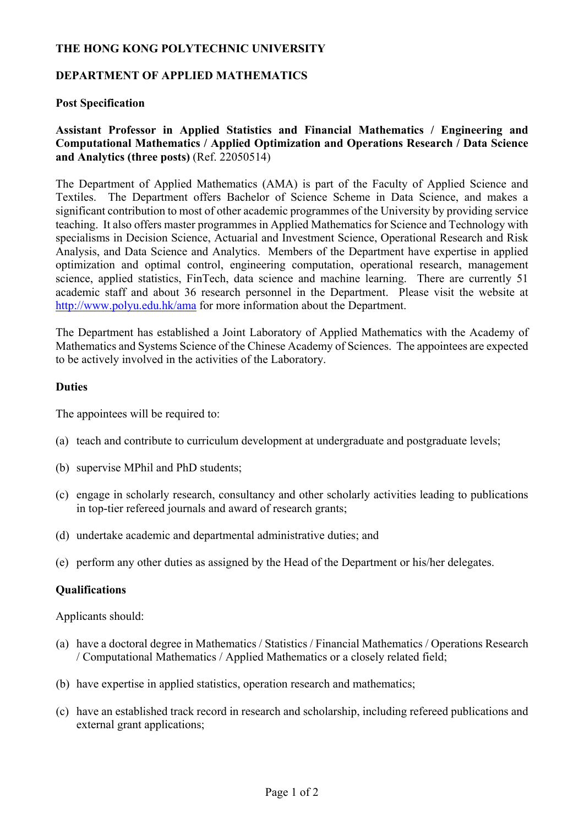## **THE HONG KONG POLYTECHNIC UNIVERSITY**

## **DEPARTMENT OF APPLIED MATHEMATICS**

#### **Post Specification**

# **Assistant Professor in Applied Statistics and Financial Mathematics / Engineering and Computational Mathematics / Applied Optimization and Operations Research / Data Science and Analytics (three posts)** (Ref. 22050514)

The Department of Applied Mathematics (AMA) is part of the Faculty of Applied Science and Textiles. The Department offers Bachelor of Science Scheme in Data Science, and makes a significant contribution to most of other academic programmes of the University by providing service teaching. It also offers master programmes in Applied Mathematics for Science and Technology with specialisms in Decision Science, Actuarial and Investment Science, Operational Research and Risk Analysis, and Data Science and Analytics. Members of the Department have expertise in applied optimization and optimal control, engineering computation, operational research, management science, applied statistics, FinTech, data science and machine learning. There are currently 51 academic staff and about 36 research personnel in the Department. Please visit the website at http://www.polyu.edu.hk/ama for more information about the Department.

The Department has established a Joint Laboratory of Applied Mathematics with the Academy of Mathematics and Systems Science of the Chinese Academy of Sciences. The appointees are expected to be actively involved in the activities of the Laboratory.

#### **Duties**

The appointees will be required to:

- (a) teach and contribute to curriculum development at undergraduate and postgraduate levels;
- (b) supervise MPhil and PhD students;
- (c) engage in scholarly research, consultancy and other scholarly activities leading to publications in top-tier refereed journals and award of research grants;
- (d) undertake academic and departmental administrative duties; and
- (e) perform any other duties as assigned by the Head of the Department or his/her delegates.

#### **Qualifications**

Applicants should:

- (a) have a doctoral degree in Mathematics / Statistics / Financial Mathematics / Operations Research / Computational Mathematics / Applied Mathematics or a closely related field;
- (b) have expertise in applied statistics, operation research and mathematics;
- (c) have an established track record in research and scholarship, including refereed publications and external grant applications;